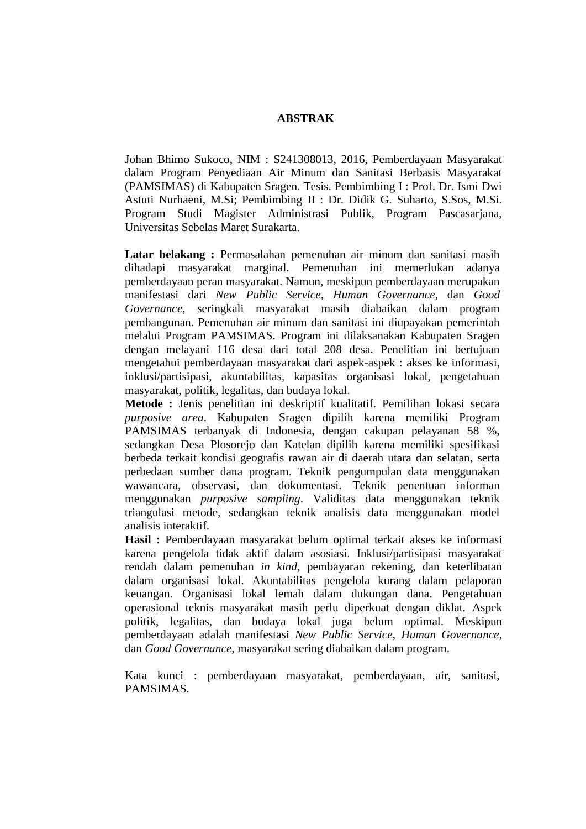## **ABSTRAK**

Johan Bhimo Sukoco, NIM : S241308013, 2016, Pemberdayaan Masyarakat dalam Program Penyediaan Air Minum dan Sanitasi Berbasis Masyarakat (PAMSIMAS) di Kabupaten Sragen. Tesis. Pembimbing I : Prof. Dr. Ismi Dwi Astuti Nurhaeni, M.Si; Pembimbing II : Dr. Didik G. Suharto, S.Sos, M.Si. Program Studi Magister Administrasi Publik, Program Pascasarjana, Universitas Sebelas Maret Surakarta.

**Latar belakang :** Permasalahan pemenuhan air minum dan sanitasi masih dihadapi masyarakat marginal. Pemenuhan ini memerlukan adanya pemberdayaan peran masyarakat. Namun, meskipun pemberdayaan merupakan manifestasi dari *New Public Service*, *Human Governance,* dan *Good Governance,* seringkali masyarakat masih diabaikan dalam program pembangunan. Pemenuhan air minum dan sanitasi ini diupayakan pemerintah melalui Program PAMSIMAS. Program ini dilaksanakan Kabupaten Sragen dengan melayani 116 desa dari total 208 desa. Penelitian ini bertujuan mengetahui pemberdayaan masyarakat dari aspek-aspek : akses ke informasi, inklusi/partisipasi, akuntabilitas, kapasitas organisasi lokal, pengetahuan masyarakat, politik, legalitas, dan budaya lokal.

**Metode :** Jenis penelitian ini deskriptif kualitatif. Pemilihan lokasi secara *purposive area*. Kabupaten Sragen dipilih karena memiliki Program PAMSIMAS terbanyak di Indonesia, dengan cakupan pelayanan 58 %, sedangkan Desa Plosorejo dan Katelan dipilih karena memiliki spesifikasi berbeda terkait kondisi geografis rawan air di daerah utara dan selatan, serta perbedaan sumber dana program. Teknik pengumpulan data menggunakan wawancara, observasi, dan dokumentasi. Teknik penentuan informan menggunakan *purposive sampling*. Validitas data menggunakan teknik triangulasi metode, sedangkan teknik analisis data menggunakan model analisis interaktif.

**Hasil :** Pemberdayaan masyarakat belum optimal terkait akses ke informasi karena pengelola tidak aktif dalam asosiasi. Inklusi/partisipasi masyarakat rendah dalam pemenuhan *in kind,* pembayaran rekening, dan keterlibatan dalam organisasi lokal. Akuntabilitas pengelola kurang dalam pelaporan keuangan. Organisasi lokal lemah dalam dukungan dana. Pengetahuan operasional teknis masyarakat masih perlu diperkuat dengan diklat. Aspek politik, legalitas, dan budaya lokal juga belum optimal. Meskipun pemberdayaan adalah manifestasi *New Public Service*, *Human Governance*, dan *Good Governance*, masyarakat sering diabaikan dalam program.

Kata kunci : pemberdayaan masyarakat, pemberdayaan, air, sanitasi, PAMSIMAS.